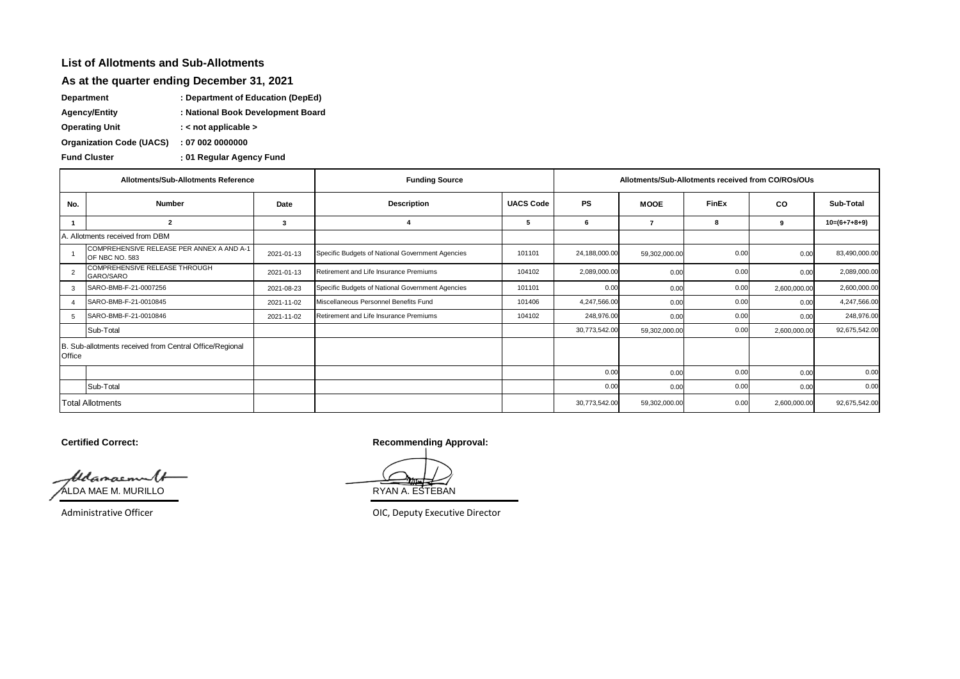## **List of Allotments and Sub-Allotments**

## **As at the quarter ending December 31, 2021**

**Department : Department of Education (DepEd)**

**Agency/Entity : National Book Development Board**

**Operating Unit : < not applicable >**

**Organization Code (UACS) : 07 002 0000000**

**: Fund Cluster 01 Regular Agency Fund**

| Allotments/Sub-Allotments Reference                               |                                                             |            | <b>Funding Source</b>                                              | Allotments/Sub-Allotments received from CO/ROs/OUs |               |               |           |              |                |
|-------------------------------------------------------------------|-------------------------------------------------------------|------------|--------------------------------------------------------------------|----------------------------------------------------|---------------|---------------|-----------|--------------|----------------|
| No.                                                               | <b>Number</b>                                               | Date       | <b>UACS Code</b><br><b>PS</b><br><b>Description</b><br><b>MOOE</b> |                                                    | <b>FinEx</b>  | <b>CO</b>     | Sub-Total |              |                |
| -1                                                                | 2                                                           | 3          |                                                                    | -5                                                 | 6             |               | 8         | 9            | $10=(6+7+8+9)$ |
| A. Allotments received from DBM                                   |                                                             |            |                                                                    |                                                    |               |               |           |              |                |
|                                                                   | COMPREHENSIVE RELEASE PER ANNEX A AND A-1<br>OF NBC NO. 583 | 2021-01-13 | Specific Budgets of National Government Agencies                   | 101101                                             | 24,188,000.00 | 59,302,000.00 | 0.00      | 0.00         | 83,490,000.00  |
| $\overline{2}$                                                    | COMPREHENSIVE RELEASE THROUGH<br>GARO/SARO                  | 2021-01-13 | Retirement and Life Insurance Premiums                             | 104102                                             | 2,089,000.00  | 0.00          | 0.00      | 0.00         | 2,089,000.00   |
| 3                                                                 | SARO-BMB-F-21-0007256                                       | 2021-08-23 | Specific Budgets of National Government Agencies                   | 101101                                             | 0.00          | 0.00          | 0.00      | 2,600,000.00 | 2,600,000.00   |
| $\boldsymbol{\Lambda}$                                            | SARO-BMB-F-21-0010845                                       | 2021-11-02 | Miscellaneous Personnel Benefits Fund                              | 101406                                             | 4,247,566.00  | 0.00          | 0.00      | 0.00         | 4,247,566.00   |
| -5                                                                | SARO-BMB-F-21-0010846                                       | 2021-11-02 | Retirement and Life Insurance Premiums                             | 104102                                             | 248,976.00    | 0.00          | 0.00      | 0.00         | 248,976.00     |
|                                                                   | Sub-Total                                                   |            |                                                                    |                                                    | 30,773,542.00 | 59,302,000.00 | 0.00      | 2,600,000.00 | 92,675,542.00  |
| B. Sub-allotments received from Central Office/Regional<br>Office |                                                             |            |                                                                    |                                                    |               |               |           |              |                |
|                                                                   |                                                             |            |                                                                    |                                                    | 0.00          | 0.00          | 0.00      | 0.00         | 0.00           |
|                                                                   | Sub-Total                                                   |            |                                                                    |                                                    | 0.00          | 0.00          | 0.00      | 0.00         | 0.00           |
| <b>Total Allotments</b>                                           |                                                             |            |                                                                    |                                                    | 30,773,542.00 | 59,302,000.00 | 0.00      | 2,600,000.00 | 92,675,542.00  |

Glangemal ALDA MAE M. MURILLO **EXAMPLE AND ALL AND ALL AND ALL AND RYAN A. ESTEBAN** 

**Certified Correct: Recommending Approval:** 

Administrative Officer **Administrative Officer** CHC, Deputy Executive Director